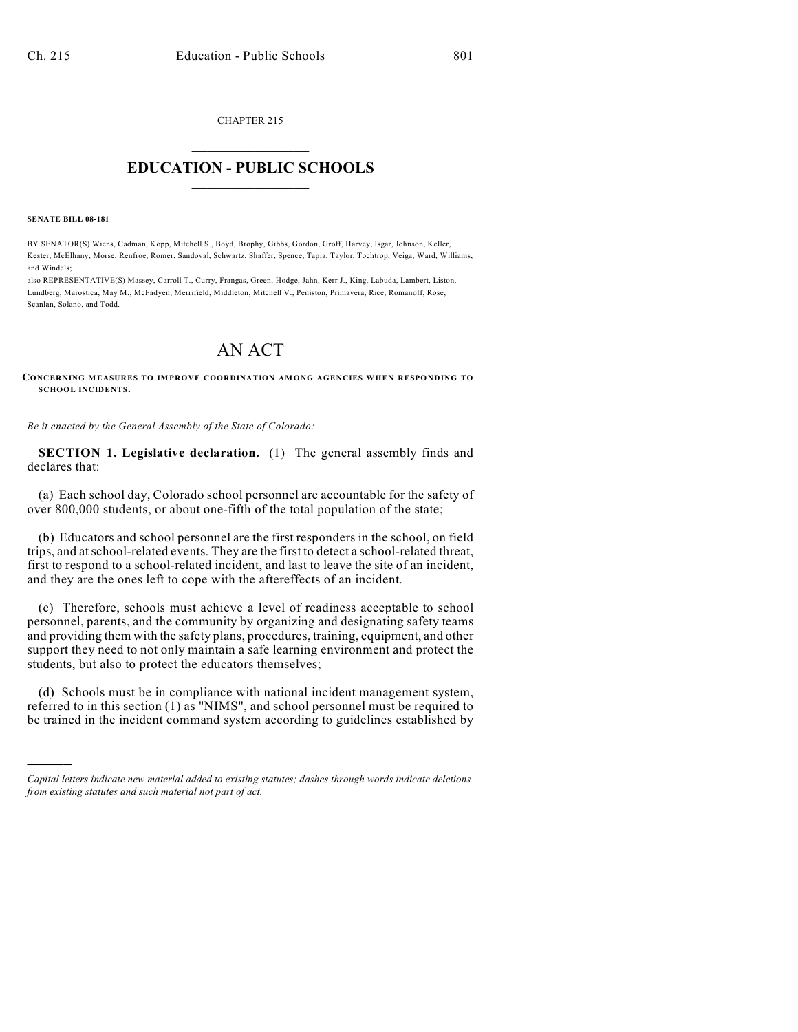CHAPTER 215

## $\overline{\phantom{a}}$  . The set of the set of the set of the set of the set of the set of the set of the set of the set of the set of the set of the set of the set of the set of the set of the set of the set of the set of the set o **EDUCATION - PUBLIC SCHOOLS**  $\_$   $\_$   $\_$   $\_$   $\_$   $\_$   $\_$   $\_$   $\_$

**SENATE BILL 08-181**

)))))

BY SENATOR(S) Wiens, Cadman, Kopp, Mitchell S., Boyd, Brophy, Gibbs, Gordon, Groff, Harvey, Isgar, Johnson, Keller, Kester, McElhany, Morse, Renfroe, Romer, Sandoval, Schwartz, Shaffer, Spence, Tapia, Taylor, Tochtrop, Veiga, Ward, Williams, and Windels;

also REPRESENTATIVE(S) Massey, Carroll T., Curry, Frangas, Green, Hodge, Jahn, Kerr J., King, Labuda, Lambert, Liston, Lundberg, Marostica, May M., McFadyen, Merrifield, Middleton, Mitchell V., Peniston, Primavera, Rice, Romanoff, Rose, Scanlan, Solano, and Todd.

## AN ACT

**CONCERNING MEASURES TO IMPROVE COORDINATION AMONG AGENCIES WHEN RESPONDING TO SCHOOL INCIDENTS.**

*Be it enacted by the General Assembly of the State of Colorado:*

**SECTION 1. Legislative declaration.** (1) The general assembly finds and declares that:

(a) Each school day, Colorado school personnel are accountable for the safety of over 800,000 students, or about one-fifth of the total population of the state;

(b) Educators and school personnel are the first responders in the school, on field trips, and at school-related events. They are the first to detect a school-related threat, first to respond to a school-related incident, and last to leave the site of an incident, and they are the ones left to cope with the aftereffects of an incident.

(c) Therefore, schools must achieve a level of readiness acceptable to school personnel, parents, and the community by organizing and designating safety teams and providing them with the safety plans, procedures, training, equipment, and other support they need to not only maintain a safe learning environment and protect the students, but also to protect the educators themselves;

(d) Schools must be in compliance with national incident management system, referred to in this section (1) as "NIMS", and school personnel must be required to be trained in the incident command system according to guidelines established by

*Capital letters indicate new material added to existing statutes; dashes through words indicate deletions from existing statutes and such material not part of act.*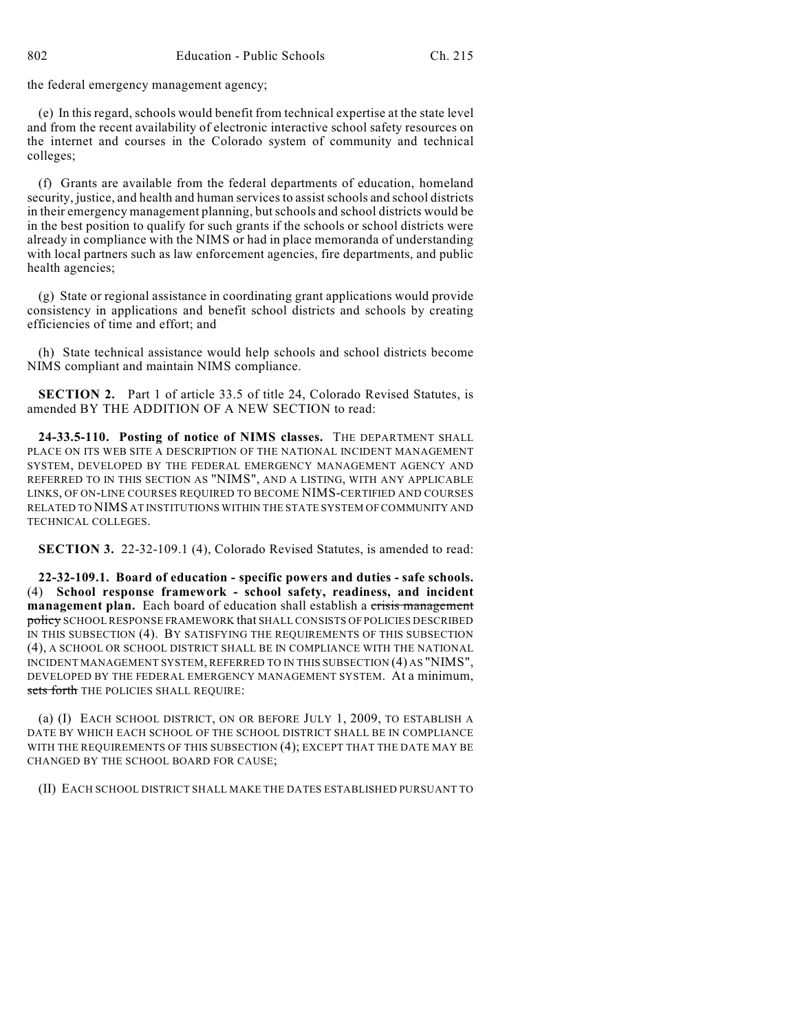the federal emergency management agency;

(e) In this regard, schools would benefit from technical expertise at the state level and from the recent availability of electronic interactive school safety resources on the internet and courses in the Colorado system of community and technical colleges;

(f) Grants are available from the federal departments of education, homeland security, justice, and health and human services to assist schools and school districts in their emergency management planning, butschools and school districts would be in the best position to qualify for such grants if the schools or school districts were already in compliance with the NIMS or had in place memoranda of understanding with local partners such as law enforcement agencies, fire departments, and public health agencies;

(g) State or regional assistance in coordinating grant applications would provide consistency in applications and benefit school districts and schools by creating efficiencies of time and effort; and

(h) State technical assistance would help schools and school districts become NIMS compliant and maintain NIMS compliance.

**SECTION 2.** Part 1 of article 33.5 of title 24, Colorado Revised Statutes, is amended BY THE ADDITION OF A NEW SECTION to read:

**24-33.5-110. Posting of notice of NIMS classes.** THE DEPARTMENT SHALL PLACE ON ITS WEB SITE A DESCRIPTION OF THE NATIONAL INCIDENT MANAGEMENT SYSTEM, DEVELOPED BY THE FEDERAL EMERGENCY MANAGEMENT AGENCY AND REFERRED TO IN THIS SECTION AS "NIMS", AND A LISTING, WITH ANY APPLICABLE LINKS, OF ON-LINE COURSES REQUIRED TO BECOME NIMS-CERTIFIED AND COURSES RELATED TO NIMS AT INSTITUTIONS WITHIN THE STATE SYSTEM OF COMMUNITY AND TECHNICAL COLLEGES.

**SECTION 3.** 22-32-109.1 (4), Colorado Revised Statutes, is amended to read:

**22-32-109.1. Board of education - specific powers and duties - safe schools.** (4) **School response framework - school safety, readiness, and incident** management plan. Each board of education shall establish a crisis management policy SCHOOL RESPONSE FRAMEWORK that SHALL CONSISTS OF POLICIES DESCRIBED IN THIS SUBSECTION (4). BY SATISFYING THE REQUIREMENTS OF THIS SUBSECTION (4), A SCHOOL OR SCHOOL DISTRICT SHALL BE IN COMPLIANCE WITH THE NATIONAL INCIDENT MANAGEMENT SYSTEM, REFERRED TO IN THIS SUBSECTION (4) AS "NIMS", DEVELOPED BY THE FEDERAL EMERGENCY MANAGEMENT SYSTEM. At a minimum, sets forth THE POLICIES SHALL REQUIRE:

(a) (I) EACH SCHOOL DISTRICT, ON OR BEFORE JULY 1, 2009, TO ESTABLISH A DATE BY WHICH EACH SCHOOL OF THE SCHOOL DISTRICT SHALL BE IN COMPLIANCE WITH THE REQUIREMENTS OF THIS SUBSECTION (4); EXCEPT THAT THE DATE MAY BE CHANGED BY THE SCHOOL BOARD FOR CAUSE;

(II) EACH SCHOOL DISTRICT SHALL MAKE THE DATES ESTABLISHED PURSUANT TO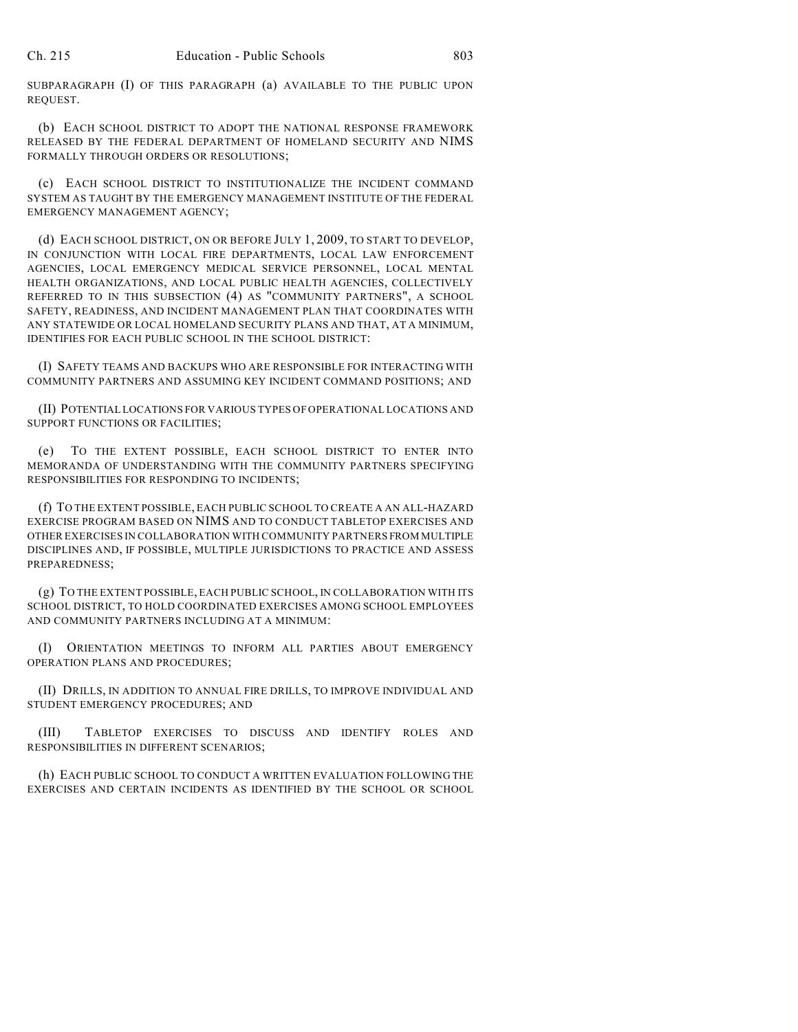SUBPARAGRAPH (I) OF THIS PARAGRAPH (a) AVAILABLE TO THE PUBLIC UPON REQUEST.

(b) EACH SCHOOL DISTRICT TO ADOPT THE NATIONAL RESPONSE FRAMEWORK RELEASED BY THE FEDERAL DEPARTMENT OF HOMELAND SECURITY AND NIMS FORMALLY THROUGH ORDERS OR RESOLUTIONS;

(c) EACH SCHOOL DISTRICT TO INSTITUTIONALIZE THE INCIDENT COMMAND SYSTEM AS TAUGHT BY THE EMERGENCY MANAGEMENT INSTITUTE OF THE FEDERAL EMERGENCY MANAGEMENT AGENCY;

(d) EACH SCHOOL DISTRICT, ON OR BEFORE JULY 1, 2009, TO START TO DEVELOP, IN CONJUNCTION WITH LOCAL FIRE DEPARTMENTS, LOCAL LAW ENFORCEMENT AGENCIES, LOCAL EMERGENCY MEDICAL SERVICE PERSONNEL, LOCAL MENTAL HEALTH ORGANIZATIONS, AND LOCAL PUBLIC HEALTH AGENCIES, COLLECTIVELY REFERRED TO IN THIS SUBSECTION (4) AS "COMMUNITY PARTNERS", A SCHOOL SAFETY, READINESS, AND INCIDENT MANAGEMENT PLAN THAT COORDINATES WITH ANY STATEWIDE OR LOCAL HOMELAND SECURITY PLANS AND THAT, AT A MINIMUM, IDENTIFIES FOR EACH PUBLIC SCHOOL IN THE SCHOOL DISTRICT:

(I) SAFETY TEAMS AND BACKUPS WHO ARE RESPONSIBLE FOR INTERACTING WITH COMMUNITY PARTNERS AND ASSUMING KEY INCIDENT COMMAND POSITIONS; AND

(II) POTENTIAL LOCATIONS FOR VARIOUS TYPES OF OPERATIONAL LOCATIONS AND SUPPORT FUNCTIONS OR FACILITIES;

(e) TO THE EXTENT POSSIBLE, EACH SCHOOL DISTRICT TO ENTER INTO MEMORANDA OF UNDERSTANDING WITH THE COMMUNITY PARTNERS SPECIFYING RESPONSIBILITIES FOR RESPONDING TO INCIDENTS;

(f) TO THE EXTENT POSSIBLE, EACH PUBLIC SCHOOL TO CREATE A AN ALL-HAZARD EXERCISE PROGRAM BASED ON NIMS AND TO CONDUCT TABLETOP EXERCISES AND OTHER EXERCISES IN COLLABORATION WITH COMMUNITY PARTNERS FROM MULTIPLE DISCIPLINES AND, IF POSSIBLE, MULTIPLE JURISDICTIONS TO PRACTICE AND ASSESS PREPAREDNESS;

(g) TO THE EXTENT POSSIBLE, EACH PUBLIC SCHOOL, IN COLLABORATION WITH ITS SCHOOL DISTRICT, TO HOLD COORDINATED EXERCISES AMONG SCHOOL EMPLOYEES AND COMMUNITY PARTNERS INCLUDING AT A MINIMUM:

(I) ORIENTATION MEETINGS TO INFORM ALL PARTIES ABOUT EMERGENCY OPERATION PLANS AND PROCEDURES;

(II) DRILLS, IN ADDITION TO ANNUAL FIRE DRILLS, TO IMPROVE INDIVIDUAL AND STUDENT EMERGENCY PROCEDURES; AND

(III) TABLETOP EXERCISES TO DISCUSS AND IDENTIFY ROLES AND RESPONSIBILITIES IN DIFFERENT SCENARIOS;

(h) EACH PUBLIC SCHOOL TO CONDUCT A WRITTEN EVALUATION FOLLOWING THE EXERCISES AND CERTAIN INCIDENTS AS IDENTIFIED BY THE SCHOOL OR SCHOOL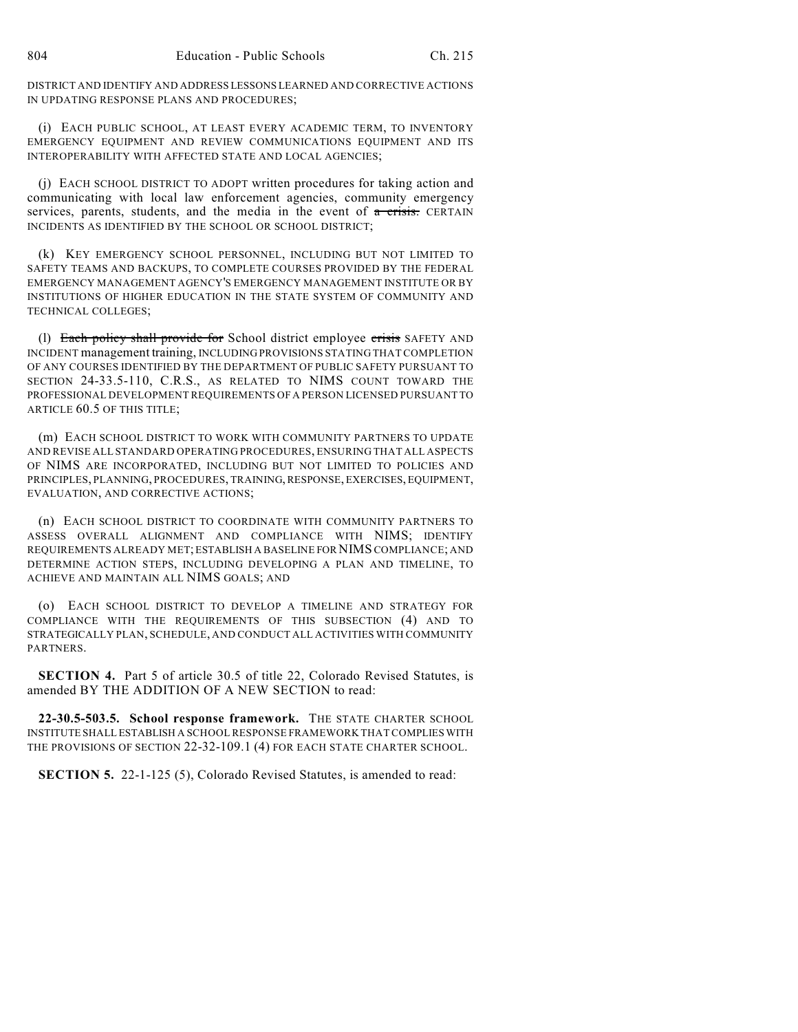DISTRICT AND IDENTIFY AND ADDRESS LESSONS LEARNED AND CORRECTIVE ACTIONS IN UPDATING RESPONSE PLANS AND PROCEDURES;

(i) EACH PUBLIC SCHOOL, AT LEAST EVERY ACADEMIC TERM, TO INVENTORY EMERGENCY EQUIPMENT AND REVIEW COMMUNICATIONS EQUIPMENT AND ITS INTEROPERABILITY WITH AFFECTED STATE AND LOCAL AGENCIES;

(j) EACH SCHOOL DISTRICT TO ADOPT written procedures for taking action and communicating with local law enforcement agencies, community emergency services, parents, students, and the media in the event of  $\alpha$  crisis. CERTAIN INCIDENTS AS IDENTIFIED BY THE SCHOOL OR SCHOOL DISTRICT;

(k) KEY EMERGENCY SCHOOL PERSONNEL, INCLUDING BUT NOT LIMITED TO SAFETY TEAMS AND BACKUPS, TO COMPLETE COURSES PROVIDED BY THE FEDERAL EMERGENCY MANAGEMENT AGENCY'S EMERGENCY MANAGEMENT INSTITUTE OR BY INSTITUTIONS OF HIGHER EDUCATION IN THE STATE SYSTEM OF COMMUNITY AND TECHNICAL COLLEGES;

(1) Each policy shall provide for School district employee crisis SAFETY AND INCIDENT management training, INCLUDING PROVISIONS STATING THAT COMPLETION OF ANY COURSES IDENTIFIED BY THE DEPARTMENT OF PUBLIC SAFETY PURSUANT TO SECTION 24-33.5-110, C.R.S., AS RELATED TO NIMS COUNT TOWARD THE PROFESSIONAL DEVELOPMENT REQUIREMENTS OF A PERSON LICENSED PURSUANT TO ARTICLE 60.5 OF THIS TITLE;

(m) EACH SCHOOL DISTRICT TO WORK WITH COMMUNITY PARTNERS TO UPDATE AND REVISE ALL STANDARD OPERATING PROCEDURES, ENSURING THAT ALL ASPECTS OF NIMS ARE INCORPORATED, INCLUDING BUT NOT LIMITED TO POLICIES AND PRINCIPLES, PLANNING, PROCEDURES, TRAINING, RESPONSE, EXERCISES, EQUIPMENT, EVALUATION, AND CORRECTIVE ACTIONS;

(n) EACH SCHOOL DISTRICT TO COORDINATE WITH COMMUNITY PARTNERS TO ASSESS OVERALL ALIGNMENT AND COMPLIANCE WITH NIMS; IDENTIFY REQUIREMENTS ALREADY MET; ESTABLISH A BASELINE FOR NIMS COMPLIANCE; AND DETERMINE ACTION STEPS, INCLUDING DEVELOPING A PLAN AND TIMELINE, TO ACHIEVE AND MAINTAIN ALL NIMS GOALS; AND

(o) EACH SCHOOL DISTRICT TO DEVELOP A TIMELINE AND STRATEGY FOR COMPLIANCE WITH THE REQUIREMENTS OF THIS SUBSECTION (4) AND TO STRATEGICALLY PLAN, SCHEDULE, AND CONDUCT ALL ACTIVITIES WITH COMMUNITY **PARTNERS** 

**SECTION 4.** Part 5 of article 30.5 of title 22, Colorado Revised Statutes, is amended BY THE ADDITION OF A NEW SECTION to read:

**22-30.5-503.5. School response framework.** THE STATE CHARTER SCHOOL INSTITUTE SHALL ESTABLISH A SCHOOL RESPONSE FRAMEWORK THAT COMPLIES WITH THE PROVISIONS OF SECTION 22-32-109.1 (4) FOR EACH STATE CHARTER SCHOOL.

**SECTION 5.** 22-1-125 (5), Colorado Revised Statutes, is amended to read: